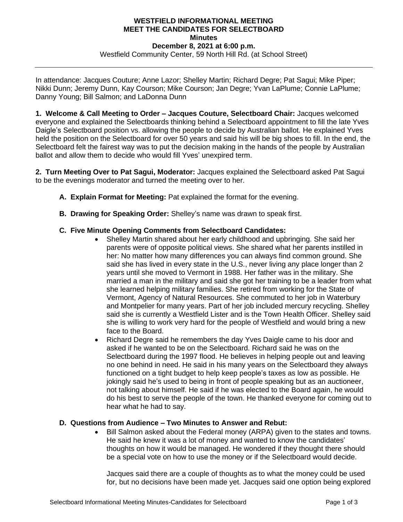## **WESTFIELD INFORMATIONAL MEETING MEET THE CANDIDATES FOR SELECTBOARD Minutes December 8, 2021 at 6:00 p.m.** Westfield Community Center, 59 North Hill Rd. (at School Street)

In attendance: Jacques Couture; Anne Lazor; Shelley Martin; Richard Degre; Pat Sagui; Mike Piper; Nikki Dunn; Jeremy Dunn, Kay Courson; Mike Courson; Jan Degre; Yvan LaPlume; Connie LaPlume; Danny Young; Bill Salmon; and LaDonna Dunn

**1. Welcome & Call Meeting to Order – Jacques Couture, Selectboard Chair:** Jacques welcomed everyone and explained the Selectboards thinking behind a Selectboard appointment to fill the late Yves Daigle's Selectboard position vs. allowing the people to decide by Australian ballot. He explained Yves held the position on the Selectboard for over 50 years and said his will be big shoes to fill. In the end, the Selectboard felt the fairest way was to put the decision making in the hands of the people by Australian ballot and allow them to decide who would fill Yves' unexpired term.

**2. Turn Meeting Over to Pat Sagui, Moderator:** Jacques explained the Selectboard asked Pat Sagui to be the evenings moderator and turned the meeting over to her.

- **A. Explain Format for Meeting:** Pat explained the format for the evening.
- **B. Drawing for Speaking Order:** Shelley's name was drawn to speak first.

## **C. Five Minute Opening Comments from Selectboard Candidates:**

- Shelley Martin shared about her early childhood and upbringing. She said her parents were of opposite political views. She shared what her parents instilled in her: No matter how many differences you can always find common ground. She said she has lived in every state in the U.S., never living any place longer than 2 years until she moved to Vermont in 1988. Her father was in the military. She married a man in the military and said she got her training to be a leader from what she learned helping military families. She retired from working for the State of Vermont, Agency of Natural Resources. She commuted to her job in Waterbury and Montpelier for many years. Part of her job included mercury recycling. Shelley said she is currently a Westfield Lister and is the Town Health Officer. Shelley said she is willing to work very hard for the people of Westfield and would bring a new face to the Board.
- Richard Degre said he remembers the day Yves Daigle came to his door and asked if he wanted to be on the Selectboard. Richard said he was on the Selectboard during the 1997 flood. He believes in helping people out and leaving no one behind in need. He said in his many years on the Selectboard they always functioned on a tight budget to help keep people's taxes as low as possible. He jokingly said he's used to being in front of people speaking but as an auctioneer, not talking about himself. He said if he was elected to the Board again, he would do his best to serve the people of the town. He thanked everyone for coming out to hear what he had to say.

## **D. Questions from Audience – Two Minutes to Answer and Rebut:**

• Bill Salmon asked about the Federal money (ARPA) given to the states and towns. He said he knew it was a lot of money and wanted to know the candidates' thoughts on how it would be managed. He wondered if they thought there should be a special vote on how to use the money or if the Selectboard would decide.

Jacques said there are a couple of thoughts as to what the money could be used for, but no decisions have been made yet. Jacques said one option being explored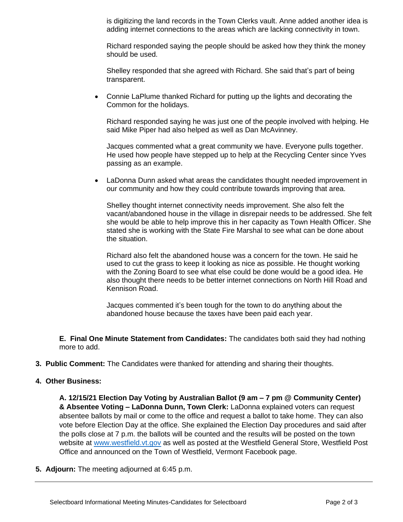is digitizing the land records in the Town Clerks vault. Anne added another idea is adding internet connections to the areas which are lacking connectivity in town.

Richard responded saying the people should be asked how they think the money should be used.

Shelley responded that she agreed with Richard. She said that's part of being transparent.

• Connie LaPlume thanked Richard for putting up the lights and decorating the Common for the holidays.

Richard responded saying he was just one of the people involved with helping. He said Mike Piper had also helped as well as Dan McAvinney.

Jacques commented what a great community we have. Everyone pulls together. He used how people have stepped up to help at the Recycling Center since Yves passing as an example.

• LaDonna Dunn asked what areas the candidates thought needed improvement in our community and how they could contribute towards improving that area.

Shelley thought internet connectivity needs improvement. She also felt the vacant/abandoned house in the village in disrepair needs to be addressed. She felt she would be able to help improve this in her capacity as Town Health Officer. She stated she is working with the State Fire Marshal to see what can be done about the situation.

Richard also felt the abandoned house was a concern for the town. He said he used to cut the grass to keep it looking as nice as possible. He thought working with the Zoning Board to see what else could be done would be a good idea. He also thought there needs to be better internet connections on North Hill Road and Kennison Road.

Jacques commented it's been tough for the town to do anything about the abandoned house because the taxes have been paid each year.

**E. Final One Minute Statement from Candidates:** The candidates both said they had nothing more to add.

- **3. Public Comment:** The Candidates were thanked for attending and sharing their thoughts.
- **4. Other Business:**

**A. 12/15/21 Election Day Voting by Australian Ballot (9 am – 7 pm @ Community Center) & Absentee Voting – LaDonna Dunn, Town Clerk:** LaDonna explained voters can request absentee ballots by mail or come to the office and request a ballot to take home. They can also vote before Election Day at the office. She explained the Election Day procedures and said after the polls close at 7 p.m. the ballots will be counted and the results will be posted on the town website at [www.westfield.vt.gov](http://www.westfield.vt.gov/) as well as posted at the Westfield General Store, Westfield Post Office and announced on the Town of Westfield, Vermont Facebook page.

**5. Adjourn:** The meeting adjourned at 6:45 p.m.